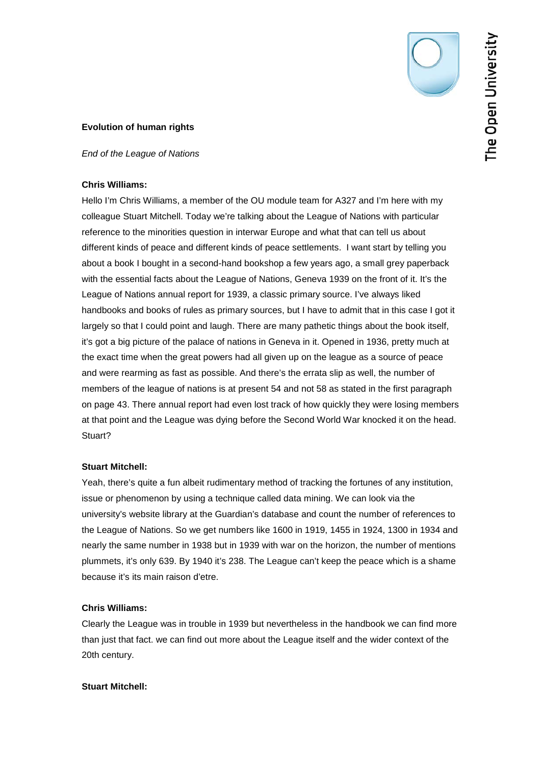

## **Evolution of human rights**

*End of the League of Nations*

## **Chris Williams:**

Hello I'm Chris Williams, a member of the OU module team for A327 and I'm here with my colleague Stuart Mitchell. Today we're talking about the League of Nations with particular reference to the minorities question in interwar Europe and what that can tell us about different kinds of peace and different kinds of peace settlements. I want start by telling you about a book I bought in a second-hand bookshop a few years ago, a small grey paperback with the essential facts about the League of Nations, Geneva 1939 on the front of it. It's the League of Nations annual report for 1939, a classic primary source. I've always liked handbooks and books of rules as primary sources, but I have to admit that in this case I got it largely so that I could point and laugh. There are many pathetic things about the book itself, it's got a big picture of the palace of nations in Geneva in it. Opened in 1936, pretty much at the exact time when the great powers had all given up on the league as a source of peace and were rearming as fast as possible. And there's the errata slip as well, the number of members of the league of nations is at present 54 and not 58 as stated in the first paragraph on page 43. There annual report had even lost track of how quickly they were losing members at that point and the League was dying before the Second World War knocked it on the head. Stuart?

# **Stuart Mitchell:**

Yeah, there's quite a fun albeit rudimentary method of tracking the fortunes of any institution, issue or phenomenon by using a technique called data mining. We can look via the university's website library at the Guardian's database and count the number of references to the League of Nations. So we get numbers like 1600 in 1919, 1455 in 1924, 1300 in 1934 and nearly the same number in 1938 but in 1939 with war on the horizon, the number of mentions plummets, it's only 639. By 1940 it's 238. The League can't keep the peace which is a shame because it's its main raison d'etre.

# **Chris Williams:**

Clearly the League was in trouble in 1939 but nevertheless in the handbook we can find more than just that fact. we can find out more about the League itself and the wider context of the 20th century.

## **Stuart Mitchell:**